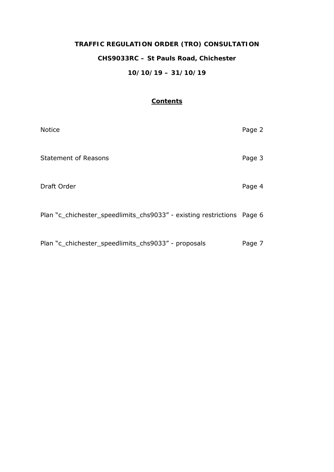# **TRAFFIC REGULATION ORDER (TRO) CONSULTATION CHS9033RC – St Pauls Road, Chichester 10/10/19 – 31/10/19**

## **Contents**

| <b>Notice</b>                                                          | Page 2 |
|------------------------------------------------------------------------|--------|
| <b>Statement of Reasons</b>                                            | Page 3 |
| Draft Order                                                            | Page 4 |
| Plan "c chichester speedlimits chs9033" - existing restrictions Page 6 |        |
| Plan "c_chichester_speedlimits_chs9033" - proposals                    | Page 7 |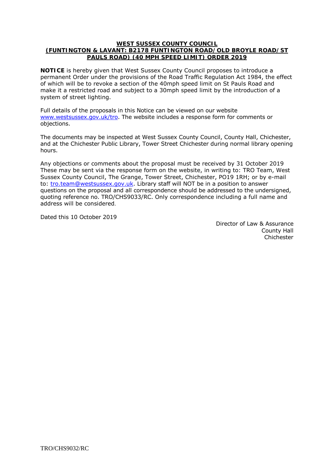#### **WEST SUSSEX COUNTY COUNCIL (FUNTINGTON & LAVANT: B2178 FUNTINGTON ROAD/OLD BROYLE ROAD/ST PAULS ROAD) (40 MPH SPEED LIMIT) ORDER 2019**

**NOTICE** is hereby given that West Sussex County Council proposes to introduce a permanent Order under the provisions of the Road Traffic Regulation Act 1984, the effect of which will be to revoke a section of the 40mph speed limit on St Pauls Road and make it a restricted road and subject to a 30mph speed limit by the introduction of a system of street lighting.

Full details of the proposals in this Notice can be viewed on our website [www.westsussex.gov.uk/tro.](http://www.westsussex.gov.uk/tro) The website includes a response form for comments or objections.

The documents may be inspected at West Sussex County Council, County Hall, Chichester, and at the Chichester Public Library, Tower Street Chichester during normal library opening hours.

Any objections or comments about the proposal must be received by 31 October 2019 These may be sent via the response form on the website, in writing to: TRO Team, West Sussex County Council, The Grange, Tower Street, Chichester, PO19 1RH; or by e-mail to: [tro.team@westsussex.gov.uk.](mailto:tro.team@westsussex.gov.uk) Library staff will NOT be in a position to answer questions on the proposal and all correspondence should be addressed to the undersigned, quoting reference no. TRO/CHS9033/RC. Only correspondence including a full name and address will be considered.

Dated this 10 October 2019

Director of Law & Assurance County Hall Chichester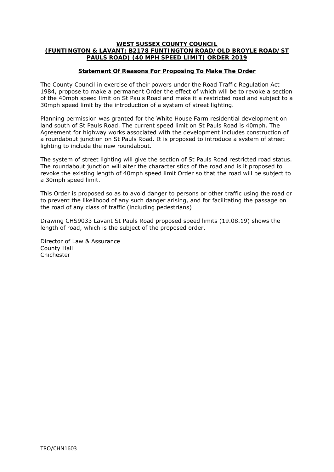### **WEST SUSSEX COUNTY COUNCIL (FUNTINGTON & LAVANT: B2178 FUNTINGTON ROAD/OLD BROYLE ROAD/ST PAULS ROAD) (40 MPH SPEED LIMIT) ORDER 2019**

## **Statement Of Reasons For Proposing To Make The Order**

The County Council in exercise of their powers under the Road Traffic Regulation Act 1984, propose to make a permanent Order the effect of which will be to revoke a section of the 40mph speed limit on St Pauls Road and make it a restricted road and subject to a 30mph speed limit by the introduction of a system of street lighting.

Planning permission was granted for the White House Farm residential development on land south of St Pauls Road. The current speed limit on St Pauls Road is 40mph. The Agreement for highway works associated with the development includes construction of a roundabout junction on St Pauls Road. It is proposed to introduce a system of street lighting to include the new roundabout.

The system of street lighting will give the section of St Pauls Road restricted road status. The roundabout junction will alter the characteristics of the road and is it proposed to revoke the existing length of 40mph speed limit Order so that the road will be subject to a 30mph speed limit.

This Order is proposed so as to avoid danger to persons or other traffic using the road or to prevent the likelihood of any such danger arising, and for facilitating the passage on the road of any class of traffic (including pedestrians)

Drawing CHS9033 Lavant St Pauls Road proposed speed limits (19.08.19) shows the length of road, which is the subject of the proposed order.

Director of Law & Assurance County Hall Chichester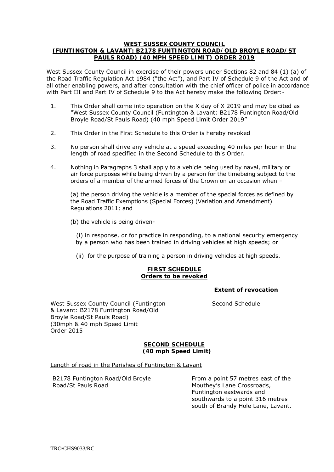#### **WEST SUSSEX COUNTY COUNCIL (FUNTINGTON & LAVANT: B2178 FUNTINGTON ROAD/OLD BROYLE ROAD/ST PAULS ROAD) (40 MPH SPEED LIMIT) ORDER 2019**

West Sussex County Council in exercise of their powers under Sections 82 and 84 (1) (a) of the Road Traffic Regulation Act 1984 ("the Act"), and Part IV of Schedule 9 of the Act and of all other enabling powers, and after consultation with the chief officer of police in accordance with Part III and Part IV of Schedule 9 to the Act hereby make the following Order:-

- 1. This Order shall come into operation on the X day of X 2019 and may be cited as "West Sussex County Council (Funtington & Lavant: B2178 Funtington Road/Old Broyle Road/St Pauls Road) (40 mph Speed Limit Order 2019"
- 2. This Order in the First Schedule to this Order is hereby revoked
- 3. No person shall drive any vehicle at a speed exceeding 40 miles per hour in the length of road specified in the Second Schedule to this Order.
- 4. Nothing in Paragraphs 3 shall apply to a vehicle being used by naval, military or air force purposes while being driven by a person for the timebeing subject to the orders of a member of the armed forces of the Crown on an occasion when –

(a) the person driving the vehicle is a member of the special forces as defined by the Road Traffic Exemptions (Special Forces) (Variation and Amendment) Regulations 2011; and

(b) the vehicle is being driven-

 (i) in response, or for practice in responding, to a national security emergency by a person who has been trained in driving vehicles at high speeds; or

(ii) for the purpose of training a person in driving vehicles at high speeds.

## **FIRST SCHEDULE Orders to be revoked**

## **Extent of revocation**

West Sussex County Council (Funtington Second Schedule & Lavant: B2178 Funtington Road/Old Broyle Road/St Pauls Road) (30mph & 40 mph Speed Limit Order 2015

## **SECOND SCHEDULE (40 mph Speed Limit)**

Length of road in the Parishes of Funtington & Lavant

Road/St Pauls Road Mouthey's Lane Crossroads,

B2178 Funtington Road/Old Broyle From a point 57 metres east of the Funtington eastwards and southwards to a point 316 metres south of Brandy Hole Lane, Lavant.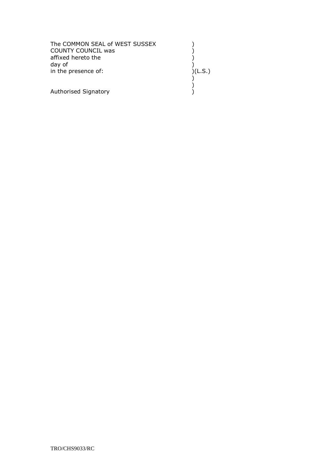| The COMMON SEAL of WEST SUSSEX<br>COUNTY COUNCIL was<br>affixed hereto the<br>day of<br>in the presence of: | )(L.S.) |
|-------------------------------------------------------------------------------------------------------------|---------|
| Authorised Signatory                                                                                        |         |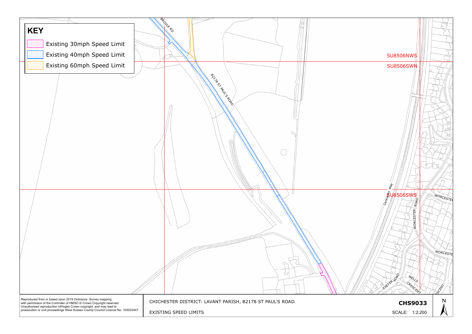